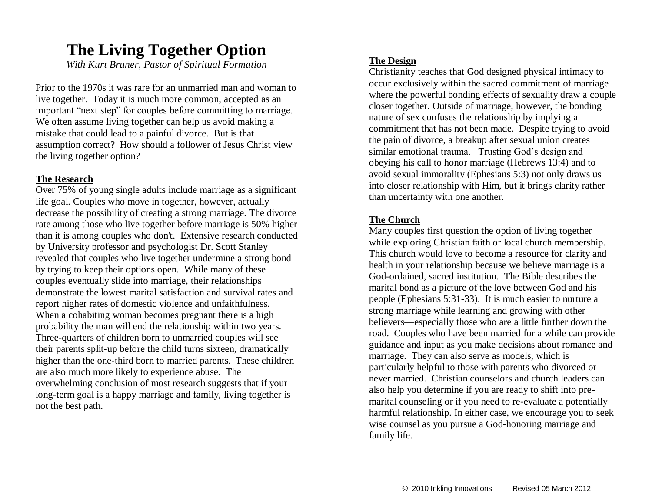## **The Living Together Option**

*With Kurt Bruner, Pastor of Spiritual Formation*

Prior to the 1970s it was rare for an unmarried man and woman to live together. Today it is much more common, accepted as an important "next step" for couples before committing to marriage. We often assume living together can help us avoid making a mistake that could lead to a painful divorce. But is that assumption correct? How should a follower of Jesus Christ view the living together option?

#### **The Research**

Over 75% of young single adults include marriage as a significant life goal. Couples who move in together, however, actually decrease the possibility of creating a strong marriage. The divorce rate among those who live together before marriage is 50% higher than it is among couples who don't. Extensive research conducted by University professor and psychologist Dr. Scott Stanley revealed that couples who live together undermine a strong bond by trying to keep their options open. While many of these couples eventually slide into marriage, their relationships demonstrate the lowest marital satisfaction and survival rates and report higher rates of domestic violence and unfaithfulness. When a cohabiting woman becomes pregnant there is a high probability the man will end the relationship within two years. Three-quarters of children born to unmarried couples will see their parents split-up before the child turns sixteen, dramatically higher than the one-third born to married parents. These children are also much more likely to experience abuse. The overwhelming conclusion of most research suggests that if your long-term goal is a happy marriage and family, living together is not the best path.

#### **The Design**

Christianity teaches that God designed physical intimacy to occur exclusively within the sacred commitment of marriage where the powerful bonding effects of sexuality draw a couple closer together. Outside of marriage, however, the bonding nature of sex confuses the relationship by implying a commitment that has not been made. Despite trying to avoid the pain of divorce, a breakup after sexual union creates similar emotional trauma. Trusting God's design and obeying his call to honor marriage (Hebrews 13:4) and to avoid sexual immorality (Ephesians 5:3) not only draws us into closer relationship with Him, but it brings clarity rather than uncertainty with one another.

#### **The Church**

Many couples first question the option of living together while exploring Christian faith or local church membership. This church would love to become a resource for clarity and health in your relationship because we believe marriage is a God-ordained, sacred institution. The Bible describes the marital bond as a picture of the love between God and his people (Ephesians 5:31-33). It is much easier to nurture a strong marriage while learning and growing with other believers—especially those who are a little further down the road. Couples who have been married for a while can provide guidance and input as you make decisions about romance and marriage. They can also serve as models, which is particularly helpful to those with parents who divorced or never married. Christian counselors and church leaders can also help you determine if you are ready to shift into premarital counseling or if you need to re-evaluate a potentially harmful relationship. In either case, we encourage you to seek wise counsel as you pursue a God-honoring marriage and family life.